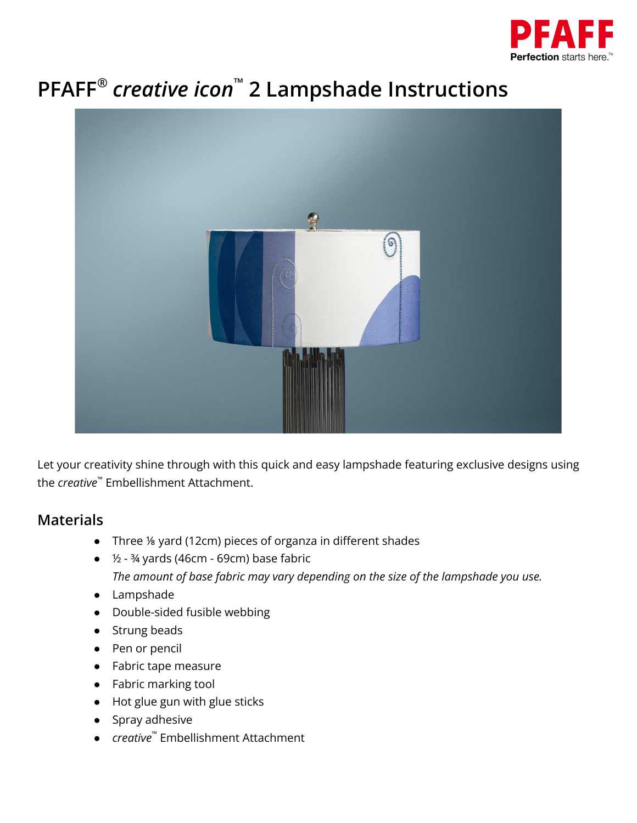

# **PFAFF ®** *creative icon* **™ 2 Lampshade Instructions**



Let your creativity shine through with this quick and easy lampshade featuring exclusive designs using the *creative* ™ Embellishment Attachment.

#### **Materials**

- Three ⅛ yard (12cm) pieces of organza in different shades
- ½ ¾ yards (46cm 69cm) base fabric *The amount of base fabric may vary depending on the size of the lampshade you use.*
- Lampshade
- Double-sided fusible webbing
- Strung beads
- Pen or pencil
- Fabric tape measure
- Fabric marking tool
- Hot glue gun with glue sticks
- Spray adhesive
- *creative* ™ Embellishment Attachment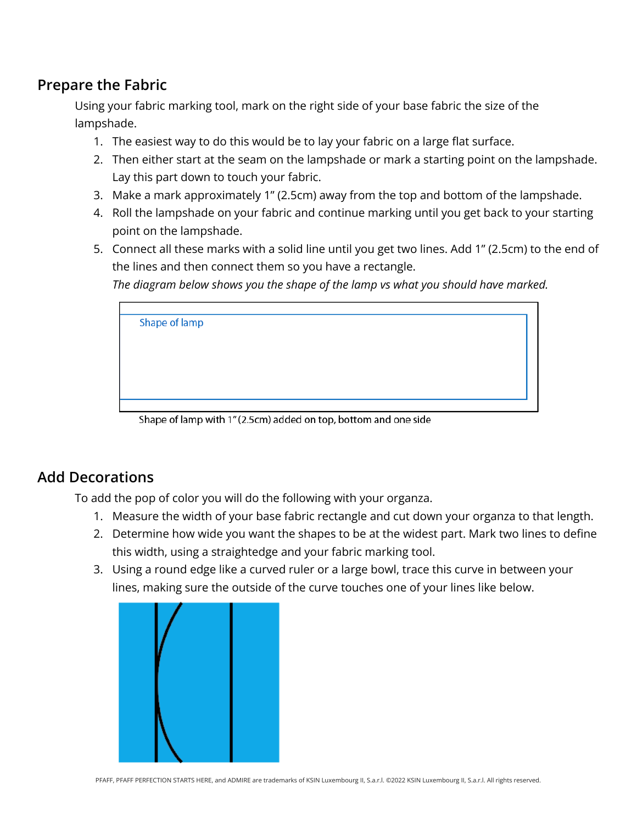### **Prepare the Fabric**

Using your fabric marking tool, mark on the right side of your base fabric the size of the lampshade.

- 1. The easiest way to do this would be to lay your fabric on a large flat surface.
- 2. Then either start at the seam on the lampshade or mark a starting point on the lampshade. Lay this part down to touch your fabric.
- 3. Make a mark approximately 1" (2.5cm) away from the top and bottom of the lampshade.
- 4. Roll the lampshade on your fabric and continue marking until you get back to your starting point on the lampshade.
- 5. Connect all these marks with a solid line until you get two lines. Add 1" (2.5cm) to the end of the lines and then connect them so you have a rectangle.

*The diagram below shows you the shape of the lamp vs what you should have marked.*

| Shape of lamp |  |  |
|---------------|--|--|
|               |  |  |
|               |  |  |
|               |  |  |
|               |  |  |
|               |  |  |
|               |  |  |
|               |  |  |
|               |  |  |

Shape of lamp with 1" (2.5cm) added on top, bottom and one side

#### **Add Decorations**

To add the pop of color you will do the following with your organza.

- 1. Measure the width of your base fabric rectangle and cut down your organza to that length.
- 2. Determine how wide you want the shapes to be at the widest part. Mark two lines to define this width, using a straightedge and your fabric marking tool.
- 3. Using a round edge like a curved ruler or a large bowl, trace this curve in between your lines, making sure the outside of the curve touches one of your lines like below.